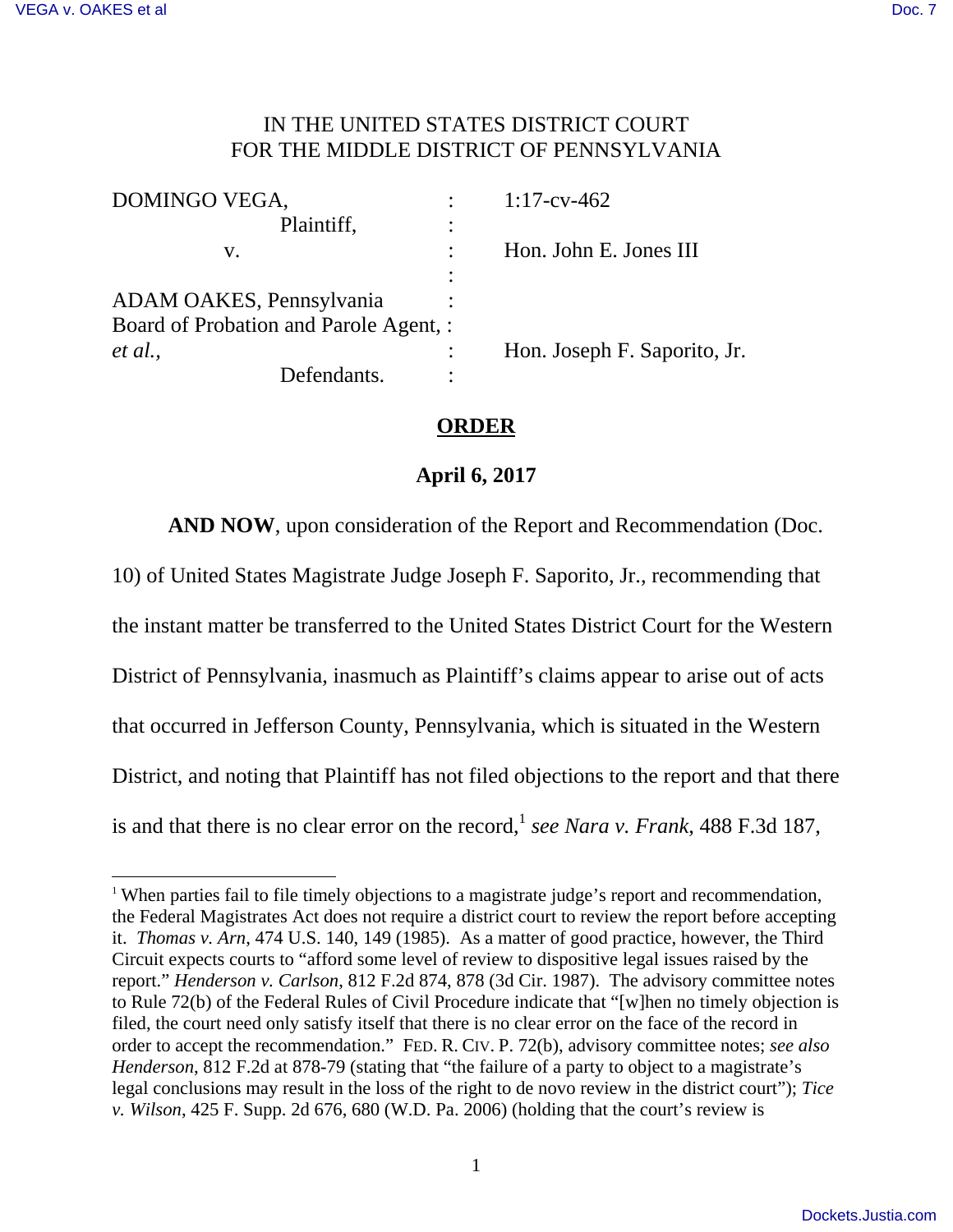-

## IN THE UNITED STATES DISTRICT COURT FOR THE MIDDLE DISTRICT OF PENNSYLVANIA

| DOMINGO VEGA,                          | $1:17$ -cv-462               |
|----------------------------------------|------------------------------|
| Plaintiff,                             |                              |
| v.                                     | Hon. John E. Jones III       |
|                                        |                              |
| ADAM OAKES, Pennsylvania               |                              |
| Board of Probation and Parole Agent, : |                              |
| et al.,                                | Hon. Joseph F. Saporito, Jr. |
| Defendants.                            |                              |

## **ORDER**

## **April 6, 2017**

**AND NOW**, upon consideration of the Report and Recommendation (Doc.

10) of United States Magistrate Judge Joseph F. Saporito, Jr., recommending that the instant matter be transferred to the United States District Court for the Western District of Pennsylvania, inasmuch as Plaintiff's claims appear to arise out of acts that occurred in Jefferson County, Pennsylvania, which is situated in the Western District, and noting that Plaintiff has not filed objections to the report and that there is and that there is no clear error on the record,<sup>1</sup> see Nara v. Frank, 488 F.3d 187,

<sup>&</sup>lt;sup>1</sup> When parties fail to file timely objections to a magistrate judge's report and recommendation, the Federal Magistrates Act does not require a district court to review the report before accepting it. *Thomas v. Arn*, 474 U.S. 140, 149 (1985). As a matter of good practice, however, the Third Circuit expects courts to "afford some level of review to dispositive legal issues raised by the report." *Henderson v. Carlson*, 812 F.2d 874, 878 (3d Cir. 1987). The advisory committee notes to Rule 72(b) of the Federal Rules of Civil Procedure indicate that "[w]hen no timely objection is filed, the court need only satisfy itself that there is no clear error on the face of the record in order to accept the recommendation." FED. R. CIV. P. 72(b), advisory committee notes; *see also Henderson*, 812 F.2d at 878-79 (stating that "the failure of a party to object to a magistrate's legal conclusions may result in the loss of the right to de novo review in the district court"); *Tice v. Wilson*, 425 F. Supp. 2d 676, 680 (W.D. Pa. 2006) (holding that the court's review is